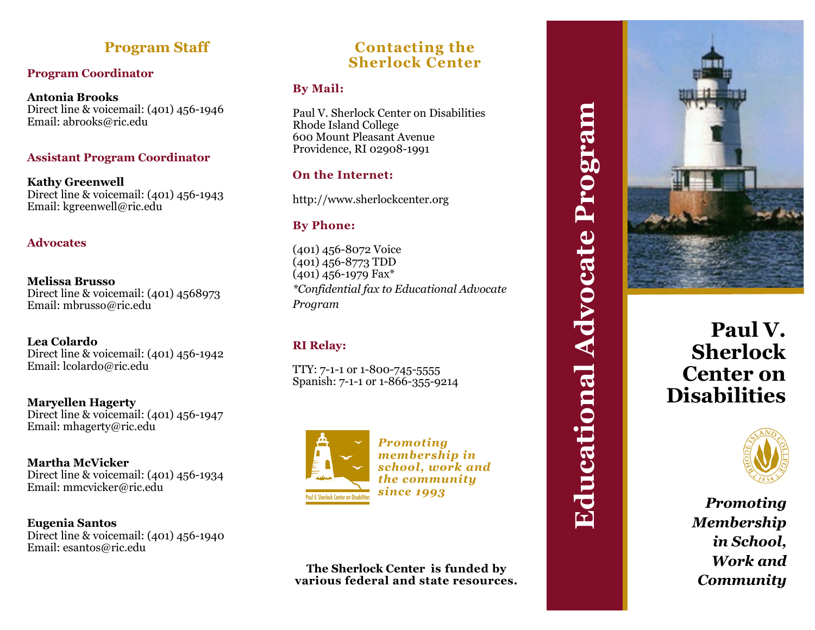# **Program Staff**

### **Program Coordinator**

**Antonia Brooks**  Direct line & voicemail: (401) 456 -1946 Email: abrooks@ric.edu

### **Assistant Program Coordinator**

**Kathy Greenwell** Direct line & voicemail: (401) 456 -1943 Email: kgreenwell@ric.edu

#### **Advocates**

**Melissa Brusso** Direct line & voicemail: (401) 4568973 Email: mbrusso@ric.edu

**Lea Colardo**  Direct line & voicemail: (401) 456 -1942 Email: lcolardo@ric.edu

**Maryellen Hagerty** Direct line & voicemail: (401) 456 -1947 Email: mhagerty@ric.edu

**Martha McVicker** Direct line & voicemail: (401) 456 -1934 Email: mmcvicker@ric.edu

**Eugenia Santos** Direct line & voicemail: (401) 456 -1940 Email: esantos@ric.edu

# **Contacting the Sherlock Center**

### **By Mail:**

Paul V. Sherlock Center on Disabilities Rhode Island College 600 Mount Pleasant Avenue Providence, RI 02908 -1991

## **On the Internet:**

http://www.sherlockcenter.org

### **By Phone:**

(401) 456 -8072 Voice (401) 456 -8773 TDD (401) 456 -1979 Fax\* *\*Confidential fax to Educational Advocate Program*

## **RI Relay:**

TTY: 7-1-1 or 1-800-745-5555 Spanish: 7-1-1 or 1-866-355-9214



*Promoting membership in school, work and the community since 1993*

#### **The Sherlock Center is funded by various federal and state resources.**



# **Paul V. Sherlock Center on Disabilities**



*Promoting Membership in School, Work and Community*